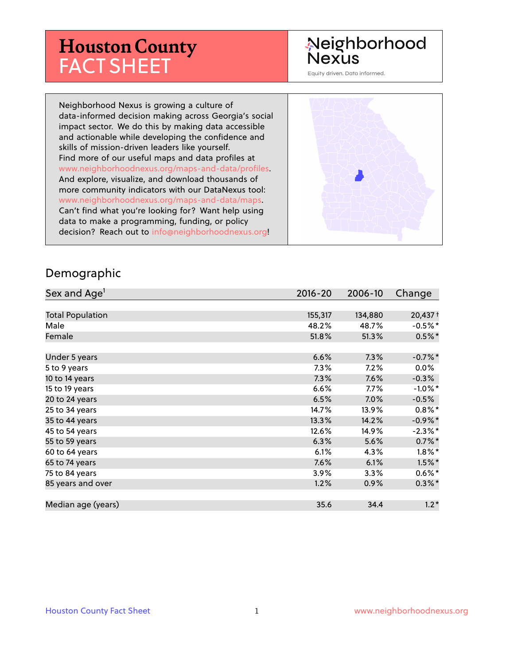## **Houston County** FACT SHEET

#### Neighborhood **Nexus**

Equity driven. Data informed.

Neighborhood Nexus is growing a culture of data-informed decision making across Georgia's social impact sector. We do this by making data accessible and actionable while developing the confidence and skills of mission-driven leaders like yourself. Find more of our useful maps and data profiles at www.neighborhoodnexus.org/maps-and-data/profiles. And explore, visualize, and download thousands of more community indicators with our DataNexus tool: www.neighborhoodnexus.org/maps-and-data/maps. Can't find what you're looking for? Want help using data to make a programming, funding, or policy decision? Reach out to [info@neighborhoodnexus.org!](mailto:info@neighborhoodnexus.org)



#### Demographic

| Sex and Age <sup>1</sup> | $2016 - 20$ | 2006-10 | Change     |
|--------------------------|-------------|---------|------------|
|                          |             |         |            |
| <b>Total Population</b>  | 155,317     | 134,880 | 20,437 +   |
| Male                     | 48.2%       | 48.7%   | $-0.5%$ *  |
| Female                   | 51.8%       | 51.3%   | $0.5%$ *   |
|                          |             |         |            |
| Under 5 years            | 6.6%        | 7.3%    | $-0.7%$ *  |
| 5 to 9 years             | $7.3\%$     | 7.2%    | $0.0\%$    |
| 10 to 14 years           | 7.3%        | 7.6%    | $-0.3%$    |
| 15 to 19 years           | 6.6%        | $7.7\%$ | $-1.0\%$ * |
| 20 to 24 years           | 6.5%        | 7.0%    | $-0.5%$    |
| 25 to 34 years           | 14.7%       | 13.9%   | $0.8\%$ *  |
| 35 to 44 years           | 13.3%       | 14.2%   | $-0.9\%$ * |
| 45 to 54 years           | 12.6%       | 14.9%   | $-2.3%$ *  |
| 55 to 59 years           | 6.3%        | 5.6%    | $0.7\%$ *  |
| 60 to 64 years           | 6.1%        | 4.3%    | $1.8\%$ *  |
| 65 to 74 years           | 7.6%        | 6.1%    | $1.5\%$ *  |
| 75 to 84 years           | 3.9%        | $3.3\%$ | $0.6\%$ *  |
| 85 years and over        | 1.2%        | 0.9%    | $0.3\%$ *  |
|                          |             |         |            |
| Median age (years)       | 35.6        | 34.4    | $1.2*$     |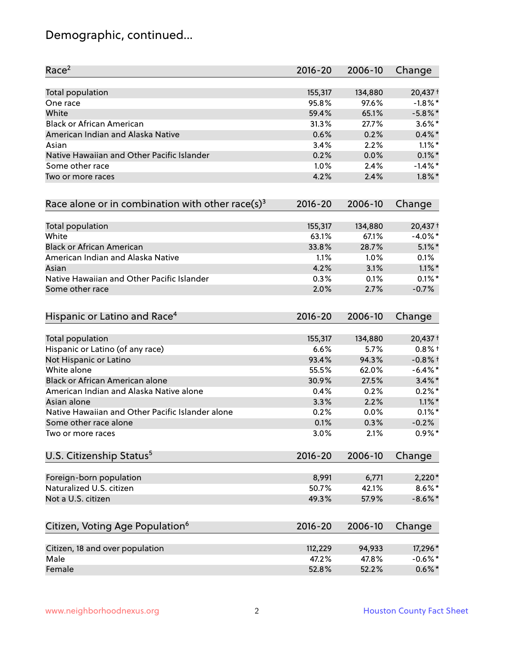### Demographic, continued...

| Race <sup>2</sup>                                   | $2016 - 20$ | 2006-10 | Change     |
|-----------------------------------------------------|-------------|---------|------------|
| <b>Total population</b>                             | 155,317     | 134,880 | 20,437 +   |
| One race                                            | 95.8%       | 97.6%   | $-1.8\%$ * |
| White                                               | 59.4%       | 65.1%   | $-5.8\%$ * |
| <b>Black or African American</b>                    | 31.3%       | 27.7%   | $3.6\%$ *  |
| American Indian and Alaska Native                   | 0.6%        | 0.2%    | $0.4\% *$  |
| Asian                                               | 3.4%        | 2.2%    | $1.1\%$ *  |
| Native Hawaiian and Other Pacific Islander          | 0.2%        | 0.0%    | $0.1\%$ *  |
| Some other race                                     | 1.0%        | 2.4%    | $-1.4\%$ * |
| Two or more races                                   | 4.2%        | 2.4%    | $1.8\%$ *  |
| Race alone or in combination with other race(s) $3$ | $2016 - 20$ | 2006-10 | Change     |
| Total population                                    | 155,317     | 134,880 | 20,437 +   |
| White                                               | 63.1%       | 67.1%   | $-4.0\%$ * |
| <b>Black or African American</b>                    | 33.8%       | 28.7%   | $5.1\%$ *  |
| American Indian and Alaska Native                   | 1.1%        | 1.0%    | 0.1%       |
| Asian                                               | 4.2%        | 3.1%    | $1.1\%$ *  |
| Native Hawaiian and Other Pacific Islander          | 0.3%        | 0.1%    | $0.1\%$ *  |
| Some other race                                     | 2.0%        | 2.7%    | $-0.7%$    |
| Hispanic or Latino and Race <sup>4</sup>            | $2016 - 20$ | 2006-10 | Change     |
| Total population                                    | 155,317     | 134,880 | $20,437+$  |
| Hispanic or Latino (of any race)                    | 6.6%        | 5.7%    | $0.8%$ +   |
| Not Hispanic or Latino                              | 93.4%       | 94.3%   | $-0.8%$ †  |
| White alone                                         | 55.5%       | 62.0%   | $-6.4\%$ * |
| Black or African American alone                     | 30.9%       | 27.5%   | $3.4\%$ *  |
| American Indian and Alaska Native alone             | 0.4%        | 0.2%    | $0.2%$ *   |
| Asian alone                                         | 3.3%        | 2.2%    | $1.1\%$ *  |
| Native Hawaiian and Other Pacific Islander alone    | 0.2%        | 0.0%    | $0.1\%$ *  |
| Some other race alone                               | 0.1%        | 0.3%    | $-0.2%$    |
| Two or more races                                   | 3.0%        | 2.1%    | $0.9\%$ *  |
| U.S. Citizenship Status <sup>5</sup>                | $2016 - 20$ | 2006-10 | Change     |
| Foreign-born population                             | 8,991       | 6,771   | $2,220*$   |
| Naturalized U.S. citizen                            | 50.7%       | 42.1%   | $8.6\%$ *  |
| Not a U.S. citizen                                  | 49.3%       | 57.9%   | $-8.6\%$ * |
| Citizen, Voting Age Population <sup>6</sup>         | $2016 - 20$ | 2006-10 | Change     |
|                                                     |             |         |            |
| Citizen, 18 and over population                     | 112,229     | 94,933  | 17,296*    |
| Male                                                | 47.2%       | 47.8%   | $-0.6\%$ * |
| Female                                              | 52.8%       | 52.2%   | $0.6\%$ *  |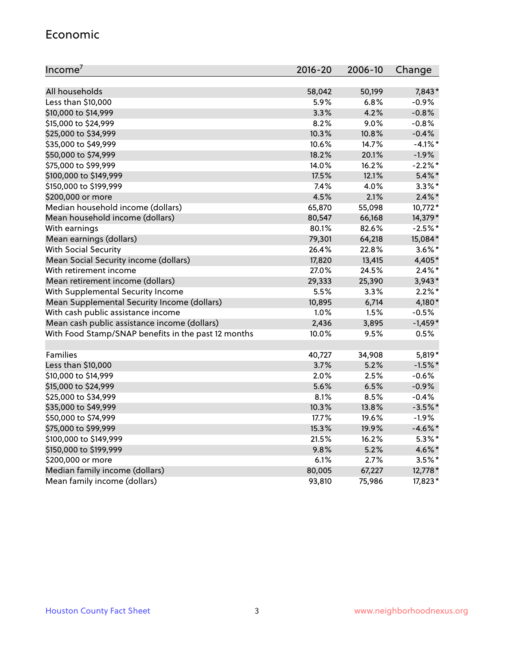#### Economic

| Income <sup>7</sup>                                 | $2016 - 20$ | 2006-10 | Change     |
|-----------------------------------------------------|-------------|---------|------------|
|                                                     |             |         |            |
| All households                                      | 58,042      | 50,199  | 7,843*     |
| Less than \$10,000                                  | 5.9%        | 6.8%    | $-0.9%$    |
| \$10,000 to \$14,999                                | 3.3%        | 4.2%    | $-0.8%$    |
| \$15,000 to \$24,999                                | 8.2%        | 9.0%    | $-0.8%$    |
| \$25,000 to \$34,999                                | 10.3%       | 10.8%   | $-0.4%$    |
| \$35,000 to \$49,999                                | 10.6%       | 14.7%   | $-4.1\%$ * |
| \$50,000 to \$74,999                                | 18.2%       | 20.1%   | $-1.9%$    |
| \$75,000 to \$99,999                                | 14.0%       | 16.2%   | $-2.2%$ *  |
| \$100,000 to \$149,999                              | 17.5%       | 12.1%   | $5.4\%$ *  |
| \$150,000 to \$199,999                              | 7.4%        | 4.0%    | $3.3\%$ *  |
| \$200,000 or more                                   | 4.5%        | 2.1%    | $2.4\%$ *  |
| Median household income (dollars)                   | 65,870      | 55,098  | 10,772*    |
| Mean household income (dollars)                     | 80,547      | 66,168  | 14,379*    |
| With earnings                                       | 80.1%       | 82.6%   | $-2.5%$ *  |
| Mean earnings (dollars)                             | 79,301      | 64,218  | 15,084*    |
| <b>With Social Security</b>                         | 26.4%       | 22.8%   | $3.6\%$ *  |
| Mean Social Security income (dollars)               | 17,820      | 13,415  | 4,405*     |
| With retirement income                              | 27.0%       | 24.5%   | $2.4\%$ *  |
| Mean retirement income (dollars)                    | 29,333      | 25,390  | $3,943*$   |
| With Supplemental Security Income                   | 5.5%        | $3.3\%$ | $2.2\%$ *  |
| Mean Supplemental Security Income (dollars)         | 10,895      | 6,714   | 4,180*     |
| With cash public assistance income                  | 1.0%        | 1.5%    | $-0.5%$    |
| Mean cash public assistance income (dollars)        | 2,436       | 3,895   | $-1,459*$  |
| With Food Stamp/SNAP benefits in the past 12 months | 10.0%       | 9.5%    | 0.5%       |
|                                                     |             |         |            |
| Families                                            | 40,727      | 34,908  | 5,819*     |
| Less than \$10,000                                  | 3.7%        | 5.2%    | $-1.5%$ *  |
| \$10,000 to \$14,999                                | 2.0%        | 2.5%    | $-0.6%$    |
| \$15,000 to \$24,999                                | 5.6%        | 6.5%    | $-0.9%$    |
| \$25,000 to \$34,999                                | 8.1%        | 8.5%    | $-0.4%$    |
| \$35,000 to \$49,999                                | 10.3%       | 13.8%   | $-3.5%$ *  |
| \$50,000 to \$74,999                                | 17.7%       | 19.6%   | $-1.9%$    |
| \$75,000 to \$99,999                                | 15.3%       | 19.9%   | $-4.6\%$ * |
| \$100,000 to \$149,999                              | 21.5%       | 16.2%   | $5.3\%$ *  |
| \$150,000 to \$199,999                              | 9.8%        | 5.2%    | 4.6%*      |
| \$200,000 or more                                   | 6.1%        | 2.7%    | $3.5\%$ *  |
| Median family income (dollars)                      | 80,005      | 67,227  | 12,778 *   |
| Mean family income (dollars)                        | 93,810      | 75,986  | 17,823*    |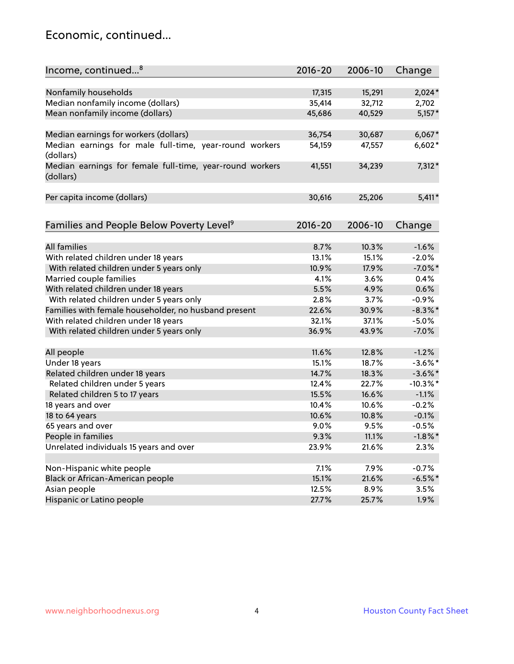#### Economic, continued...

| Income, continued <sup>8</sup>                           | $2016 - 20$ | 2006-10 | Change      |
|----------------------------------------------------------|-------------|---------|-------------|
|                                                          |             |         |             |
| Nonfamily households                                     | 17,315      | 15,291  | $2,024*$    |
| Median nonfamily income (dollars)                        | 35,414      | 32,712  | 2,702       |
| Mean nonfamily income (dollars)                          | 45,686      | 40,529  | $5,157*$    |
|                                                          |             |         |             |
| Median earnings for workers (dollars)                    | 36,754      | 30,687  | $6,067*$    |
| Median earnings for male full-time, year-round workers   | 54,159      | 47,557  | 6,602*      |
| (dollars)                                                |             |         |             |
| Median earnings for female full-time, year-round workers | 41,551      | 34,239  | 7,312*      |
| (dollars)                                                |             |         |             |
|                                                          |             |         |             |
| Per capita income (dollars)                              | 30,616      | 25,206  | $5,411*$    |
|                                                          |             |         |             |
|                                                          |             |         |             |
| Families and People Below Poverty Level <sup>9</sup>     | $2016 - 20$ | 2006-10 | Change      |
|                                                          |             |         |             |
| <b>All families</b>                                      | 8.7%        | 10.3%   | $-1.6%$     |
| With related children under 18 years                     | 13.1%       | 15.1%   | $-2.0%$     |
| With related children under 5 years only                 | 10.9%       | 17.9%   | $-7.0\%$ *  |
| Married couple families                                  | 4.1%        | 3.6%    | 0.4%        |
| With related children under 18 years                     | 5.5%        | 4.9%    | 0.6%        |
| With related children under 5 years only                 | 2.8%        | 3.7%    | $-0.9%$     |
| Families with female householder, no husband present     | 22.6%       | 30.9%   | $-8.3\%$ *  |
| With related children under 18 years                     | 32.1%       | 37.1%   | $-5.0\%$    |
| With related children under 5 years only                 | 36.9%       | 43.9%   | $-7.0%$     |
|                                                          |             |         |             |
| All people                                               | 11.6%       | 12.8%   | $-1.2%$     |
| Under 18 years                                           | 15.1%       | 18.7%   | $-3.6\%$ *  |
| Related children under 18 years                          | 14.7%       | 18.3%   | $-3.6\%$ *  |
| Related children under 5 years                           | 12.4%       | 22.7%   | $-10.3\%$ * |
| Related children 5 to 17 years                           | 15.5%       | 16.6%   | $-1.1%$     |
| 18 years and over                                        | 10.4%       | 10.6%   | $-0.2%$     |
| 18 to 64 years                                           | 10.6%       | 10.8%   | $-0.1%$     |
| 65 years and over                                        | 9.0%        | 9.5%    | $-0.5%$     |
| People in families                                       | 9.3%        | 11.1%   | $-1.8\%$ *  |
| Unrelated individuals 15 years and over                  | 23.9%       | 21.6%   | 2.3%        |
|                                                          |             |         |             |
| Non-Hispanic white people                                | 7.1%        | 7.9%    | $-0.7%$     |
| Black or African-American people                         | 15.1%       | 21.6%   | $-6.5%$ *   |
| Asian people                                             | 12.5%       | 8.9%    | 3.5%        |
| Hispanic or Latino people                                | 27.7%       | 25.7%   | 1.9%        |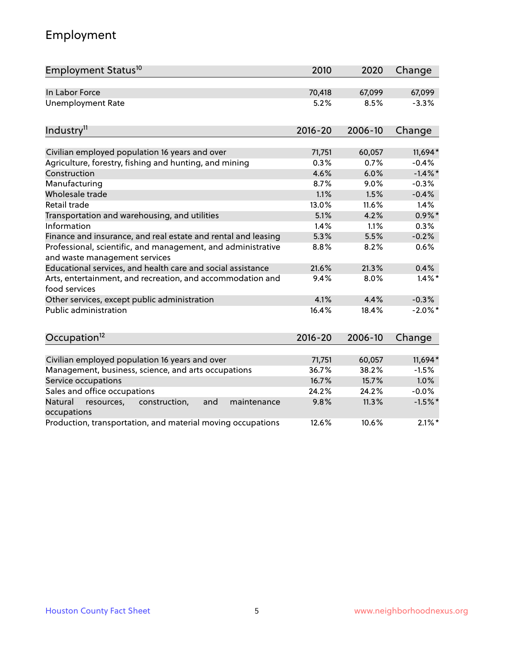### Employment

| Employment Status <sup>10</sup>                                                               | 2010        | 2020    | Change     |
|-----------------------------------------------------------------------------------------------|-------------|---------|------------|
| In Labor Force                                                                                | 70,418      | 67,099  | 67,099     |
| <b>Unemployment Rate</b>                                                                      | 5.2%        | 8.5%    | $-3.3%$    |
| Industry <sup>11</sup>                                                                        | $2016 - 20$ | 2006-10 | Change     |
|                                                                                               |             |         |            |
| Civilian employed population 16 years and over                                                | 71,751      | 60,057  | 11,694*    |
| Agriculture, forestry, fishing and hunting, and mining                                        | 0.3%        | 0.7%    | $-0.4%$    |
| Construction                                                                                  | 4.6%        | 6.0%    | $-1.4\%$ * |
| Manufacturing                                                                                 | 8.7%        | 9.0%    | $-0.3%$    |
| Wholesale trade                                                                               | 1.1%        | 1.5%    | $-0.4%$    |
| Retail trade                                                                                  | 13.0%       | 11.6%   | 1.4%       |
| Transportation and warehousing, and utilities                                                 | 5.1%        | 4.2%    | $0.9\%$ *  |
| Information                                                                                   | 1.4%        | 1.1%    | 0.3%       |
| Finance and insurance, and real estate and rental and leasing                                 | 5.3%        | 5.5%    | $-0.2%$    |
| Professional, scientific, and management, and administrative<br>and waste management services | 8.8%        | 8.2%    | 0.6%       |
| Educational services, and health care and social assistance                                   | 21.6%       | 21.3%   | 0.4%       |
| Arts, entertainment, and recreation, and accommodation and<br>food services                   | 9.4%        | 8.0%    | $1.4\%$ *  |
| Other services, except public administration                                                  | 4.1%        | 4.4%    | $-0.3%$    |
| Public administration                                                                         | 16.4%       | 18.4%   | $-2.0\%$ * |
| Occupation <sup>12</sup>                                                                      | $2016 - 20$ | 2006-10 | Change     |
|                                                                                               |             |         |            |
| Civilian employed population 16 years and over                                                | 71,751      | 60,057  | 11,694*    |
| Management, business, science, and arts occupations                                           | 36.7%       | 38.2%   | $-1.5%$    |
| Service occupations                                                                           | 16.7%       | 15.7%   | 1.0%       |
| Sales and office occupations                                                                  | 24.2%       | 24.2%   | $-0.0%$    |
| and<br>Natural<br>resources,<br>construction,<br>maintenance<br>occupations                   | 9.8%        | 11.3%   | $-1.5%$ *  |
| Production, transportation, and material moving occupations                                   | 12.6%       | 10.6%   | $2.1\%$ *  |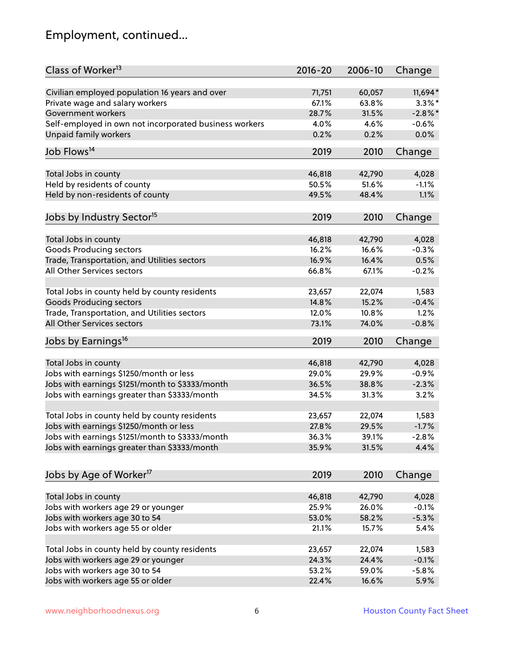### Employment, continued...

| Class of Worker <sup>13</sup>                          | $2016 - 20$ | 2006-10 | Change     |
|--------------------------------------------------------|-------------|---------|------------|
| Civilian employed population 16 years and over         | 71,751      | 60,057  | 11,694*    |
| Private wage and salary workers                        | 67.1%       | 63.8%   | $3.3\%$ *  |
| Government workers                                     | 28.7%       | 31.5%   | $-2.8\%$ * |
| Self-employed in own not incorporated business workers | 4.0%        | 4.6%    | $-0.6%$    |
| <b>Unpaid family workers</b>                           | 0.2%        | 0.2%    | 0.0%       |
| Job Flows <sup>14</sup>                                | 2019        | 2010    | Change     |
|                                                        |             |         |            |
| Total Jobs in county                                   | 46,818      | 42,790  | 4,028      |
| Held by residents of county                            | 50.5%       | 51.6%   | $-1.1%$    |
| Held by non-residents of county                        | 49.5%       | 48.4%   | 1.1%       |
| Jobs by Industry Sector <sup>15</sup>                  | 2019        | 2010    | Change     |
| Total Jobs in county                                   | 46,818      | 42,790  | 4,028      |
| <b>Goods Producing sectors</b>                         | 16.2%       | 16.6%   | $-0.3%$    |
| Trade, Transportation, and Utilities sectors           | 16.9%       | 16.4%   | 0.5%       |
| All Other Services sectors                             | 66.8%       | 67.1%   | $-0.2%$    |
|                                                        |             |         |            |
| Total Jobs in county held by county residents          | 23,657      | 22,074  | 1,583      |
| <b>Goods Producing sectors</b>                         | 14.8%       | 15.2%   | $-0.4%$    |
| Trade, Transportation, and Utilities sectors           | 12.0%       | 10.8%   | 1.2%       |
| All Other Services sectors                             | 73.1%       | 74.0%   | $-0.8%$    |
| Jobs by Earnings <sup>16</sup>                         | 2019        | 2010    | Change     |
|                                                        |             |         |            |
| Total Jobs in county                                   | 46,818      | 42,790  | 4,028      |
| Jobs with earnings \$1250/month or less                | 29.0%       | 29.9%   | $-0.9%$    |
| Jobs with earnings \$1251/month to \$3333/month        | 36.5%       | 38.8%   | $-2.3%$    |
| Jobs with earnings greater than \$3333/month           | 34.5%       | 31.3%   | 3.2%       |
| Total Jobs in county held by county residents          | 23,657      | 22,074  | 1,583      |
| Jobs with earnings \$1250/month or less                | 27.8%       | 29.5%   | $-1.7%$    |
| Jobs with earnings \$1251/month to \$3333/month        | 36.3%       | 39.1%   | $-2.8\%$   |
| Jobs with earnings greater than \$3333/month           | 35.9%       | 31.5%   | 4.4%       |
|                                                        |             |         |            |
| Jobs by Age of Worker <sup>17</sup>                    | 2019        | 2010    | Change     |
| Total Jobs in county                                   | 46,818      | 42,790  | 4,028      |
| Jobs with workers age 29 or younger                    | 25.9%       | 26.0%   | $-0.1%$    |
| Jobs with workers age 30 to 54                         | 53.0%       | 58.2%   | $-5.3%$    |
| Jobs with workers age 55 or older                      | 21.1%       | 15.7%   | 5.4%       |
|                                                        |             |         |            |
| Total Jobs in county held by county residents          | 23,657      | 22,074  | 1,583      |
| Jobs with workers age 29 or younger                    | 24.3%       | 24.4%   | $-0.1%$    |
| Jobs with workers age 30 to 54                         | 53.2%       | 59.0%   | $-5.8%$    |
| Jobs with workers age 55 or older                      | 22.4%       | 16.6%   | 5.9%       |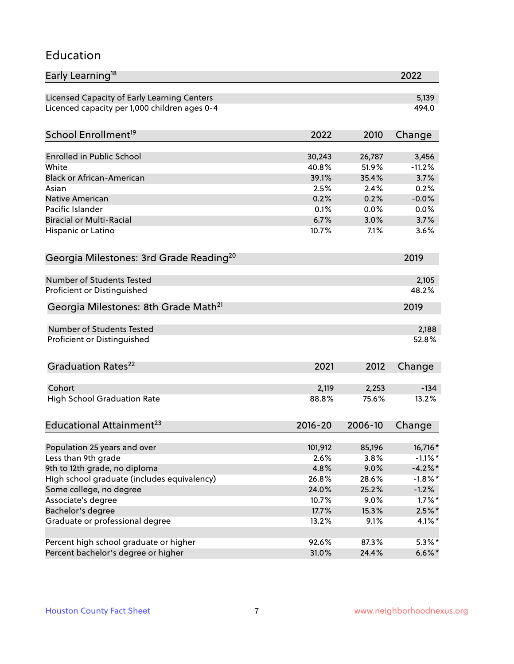#### Education

| Early Learning <sup>18</sup>                        |             |         | 2022       |
|-----------------------------------------------------|-------------|---------|------------|
| Licensed Capacity of Early Learning Centers         |             |         | 5,139      |
| Licenced capacity per 1,000 children ages 0-4       |             |         | 494.0      |
| School Enrollment <sup>19</sup>                     | 2022        | 2010    | Change     |
|                                                     |             |         |            |
| Enrolled in Public School                           | 30,243      | 26,787  | 3,456      |
| White                                               | 40.8%       | 51.9%   | $-11.2%$   |
| <b>Black or African-American</b>                    | 39.1%       | 35.4%   | 3.7%       |
| Asian                                               | 2.5%        | 2.4%    | 0.2%       |
| Native American                                     | 0.2%        | 0.2%    | $-0.0%$    |
| Pacific Islander                                    | 0.1%        | 0.0%    | 0.0%       |
| <b>Biracial or Multi-Racial</b>                     | 6.7%        | 3.0%    | 3.7%       |
| Hispanic or Latino                                  | 10.7%       | 7.1%    | 3.6%       |
| Georgia Milestones: 3rd Grade Reading <sup>20</sup> |             |         | 2019       |
|                                                     |             |         |            |
| Number of Students Tested                           |             |         | 2,105      |
| Proficient or Distinguished                         |             |         | 48.2%      |
| Georgia Milestones: 8th Grade Math <sup>21</sup>    |             |         | 2019       |
| Number of Students Tested                           |             |         | 2,188      |
| Proficient or Distinguished                         |             |         | 52.8%      |
|                                                     |             |         |            |
| Graduation Rates <sup>22</sup>                      | 2021        | 2012    | Change     |
| Cohort                                              |             |         |            |
|                                                     | 2,119       | 2,253   | $-134$     |
| <b>High School Graduation Rate</b>                  | 88.8%       | 75.6%   | 13.2%      |
| Educational Attainment <sup>23</sup>                | $2016 - 20$ | 2006-10 | Change     |
|                                                     |             |         |            |
| Population 25 years and over                        | 101,912     | 85,196  | 16,716*    |
| Less than 9th grade                                 | 2.6%        | 3.8%    | $-1.1\%$ * |
| 9th to 12th grade, no diploma                       | 4.8%        | 9.0%    | $-4.2%$ *  |
| High school graduate (includes equivalency)         | 26.8%       | 28.6%   | $-1.8\%$ * |
| Some college, no degree                             | 24.0%       | 25.2%   | $-1.2%$    |
| Associate's degree                                  | 10.7%       | 9.0%    | $1.7\%$ *  |
| Bachelor's degree                                   | 17.7%       | 15.3%   | $2.5\%$ *  |
| Graduate or professional degree                     | 13.2%       | 9.1%    | $4.1\%$ *  |
| Percent high school graduate or higher              | 92.6%       | 87.3%   | $5.3\%$ *  |
| Percent bachelor's degree or higher                 | 31.0%       | 24.4%   | $6.6\%$ *  |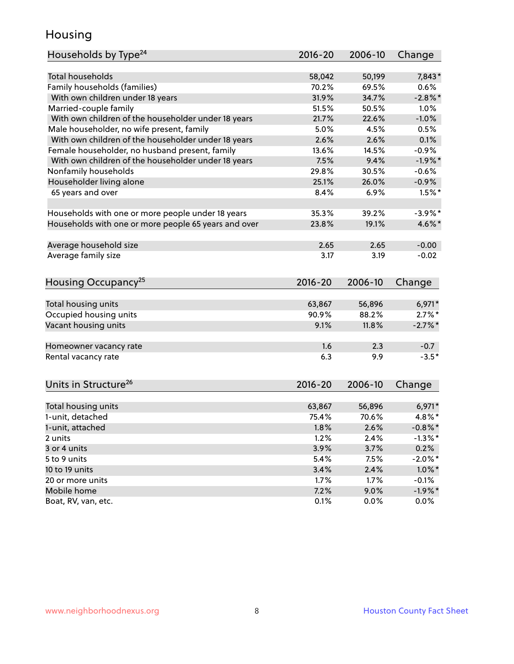#### Housing

| Households by Type <sup>24</sup>                     | 2016-20 | 2006-10 | Change             |
|------------------------------------------------------|---------|---------|--------------------|
|                                                      |         |         |                    |
| <b>Total households</b>                              | 58,042  | 50,199  | 7,843*             |
| Family households (families)                         | 70.2%   | 69.5%   | 0.6%               |
| With own children under 18 years                     | 31.9%   | 34.7%   | $-2.8%$            |
| Married-couple family                                | 51.5%   | 50.5%   | 1.0%               |
| With own children of the householder under 18 years  | 21.7%   | 22.6%   | $-1.0%$            |
| Male householder, no wife present, family            | 5.0%    | 4.5%    | 0.5%               |
| With own children of the householder under 18 years  | 2.6%    | 2.6%    | 0.1%               |
| Female householder, no husband present, family       | 13.6%   | 14.5%   | $-0.9%$            |
| With own children of the householder under 18 years  | 7.5%    | 9.4%    | $-1.9%$ *          |
| Nonfamily households                                 | 29.8%   | 30.5%   | $-0.6%$            |
| Householder living alone                             | 25.1%   | 26.0%   | $-0.9%$            |
| 65 years and over                                    | 8.4%    | 6.9%    | $1.5%$ *           |
|                                                      |         |         |                    |
| Households with one or more people under 18 years    | 35.3%   | 39.2%   | $-3.9%$ *          |
| Households with one or more people 65 years and over | 23.8%   | 19.1%   | 4.6%*              |
|                                                      |         |         |                    |
| Average household size                               | 2.65    | 2.65    | $-0.00$            |
| Average family size                                  | 3.17    | 3.19    | $-0.02$            |
|                                                      |         |         |                    |
| Housing Occupancy <sup>25</sup>                      | 2016-20 | 2006-10 | Change             |
|                                                      |         |         |                    |
| Total housing units                                  | 63,867  | 56,896  | $6,971*$           |
| Occupied housing units                               | 90.9%   | 88.2%   | $2.7\%$ *          |
| Vacant housing units                                 | 9.1%    | 11.8%   | $-2.7\%$ *         |
|                                                      |         |         |                    |
| Homeowner vacancy rate                               | 1.6     | 2.3     | $-0.7$             |
| Rental vacancy rate                                  | 6.3     | 9.9     | $-3.5*$            |
|                                                      |         |         |                    |
|                                                      |         |         |                    |
| Units in Structure <sup>26</sup>                     | 2016-20 | 2006-10 | Change             |
| Total housing units                                  | 63,867  | 56,896  | $6,971*$           |
| 1-unit, detached                                     | 75.4%   | 70.6%   | 4.8%*              |
|                                                      |         |         |                    |
| 1-unit, attached                                     | 1.8%    | 2.6%    | $-0.8\%$ *         |
| 2 units<br>3 or 4 units                              | 1.2%    | 2.4%    | $-1.3\%$ *<br>0.2% |
|                                                      | 3.9%    | 3.7%    |                    |
| 5 to 9 units                                         | 5.4%    | 7.5%    | $-2.0\%$ *         |
| 10 to 19 units                                       | 3.4%    | 2.4%    | $1.0\%$ *          |
| 20 or more units                                     | 1.7%    | 1.7%    | $-0.1%$            |
| Mobile home                                          | 7.2%    | 9.0%    | $-1.9\%$ *         |
| Boat, RV, van, etc.                                  | 0.1%    | 0.0%    | $0.0\%$            |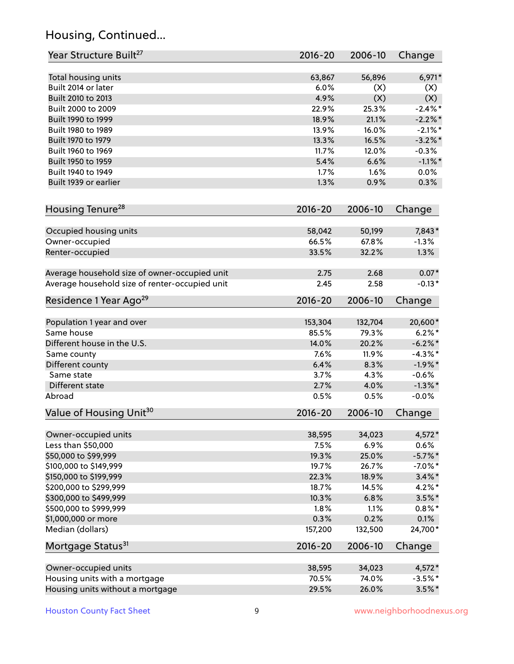### Housing, Continued...

| Year Structure Built <sup>27</sup>             | 2016-20     | 2006-10 | Change     |
|------------------------------------------------|-------------|---------|------------|
| Total housing units                            | 63,867      | 56,896  | $6,971*$   |
| Built 2014 or later                            | 6.0%        | (X)     | (X)        |
| Built 2010 to 2013                             | 4.9%        | (X)     | (X)        |
| Built 2000 to 2009                             | 22.9%       | 25.3%   | $-2.4\%$ * |
| Built 1990 to 1999                             | 18.9%       | 21.1%   | $-2.2\%$ * |
| Built 1980 to 1989                             | 13.9%       | 16.0%   | $-2.1\%$ * |
| Built 1970 to 1979                             | 13.3%       | 16.5%   | $-3.2\%$ * |
| Built 1960 to 1969                             | 11.7%       | 12.0%   | $-0.3%$    |
| Built 1950 to 1959                             | 5.4%        | 6.6%    | $-1.1\%$ * |
| Built 1940 to 1949                             | 1.7%        | 1.6%    | 0.0%       |
| Built 1939 or earlier                          | 1.3%        | 0.9%    | 0.3%       |
| Housing Tenure <sup>28</sup>                   | $2016 - 20$ | 2006-10 | Change     |
| Occupied housing units                         | 58,042      | 50,199  | 7,843*     |
| Owner-occupied                                 | 66.5%       | 67.8%   | $-1.3%$    |
| Renter-occupied                                | 33.5%       | 32.2%   | 1.3%       |
| Average household size of owner-occupied unit  | 2.75        | 2.68    | $0.07*$    |
| Average household size of renter-occupied unit | 2.45        | 2.58    | $-0.13*$   |
| Residence 1 Year Ago <sup>29</sup>             | 2016-20     | 2006-10 | Change     |
| Population 1 year and over                     | 153,304     | 132,704 | 20,600*    |
| Same house                                     | 85.5%       | 79.3%   | $6.2\%$ *  |
| Different house in the U.S.                    | 14.0%       | 20.2%   | $-6.2\%$ * |
| Same county                                    | 7.6%        | 11.9%   | $-4.3\%$ * |
| Different county                               | 6.4%        | 8.3%    | $-1.9%$ *  |
| Same state                                     | 3.7%        | 4.3%    | $-0.6%$    |
| Different state                                | 2.7%        | 4.0%    | $-1.3\%$ * |
| Abroad                                         | 0.5%        | 0.5%    | $-0.0%$    |
| Value of Housing Unit <sup>30</sup>            | $2016 - 20$ | 2006-10 | Change     |
| Owner-occupied units                           | 38,595      | 34,023  | 4,572*     |
| Less than \$50,000                             | 7.5%        | 6.9%    | 0.6%       |
| \$50,000 to \$99,999                           | 19.3%       | 25.0%   | $-5.7%$ *  |
| \$100,000 to \$149,999                         | 19.7%       | 26.7%   | $-7.0\%$ * |
| \$150,000 to \$199,999                         | 22.3%       | 18.9%   | $3.4\%$ *  |
| \$200,000 to \$299,999                         | 18.7%       | 14.5%   | $4.2\%$ *  |
| \$300,000 to \$499,999                         | 10.3%       | 6.8%    | $3.5\%$ *  |
| \$500,000 to \$999,999                         | 1.8%        | 1.1%    | $0.8\%$ *  |
| \$1,000,000 or more                            | 0.3%        | 0.2%    | 0.1%       |
| Median (dollars)                               | 157,200     | 132,500 | 24,700*    |
| Mortgage Status <sup>31</sup>                  | 2016-20     | 2006-10 | Change     |
| Owner-occupied units                           | 38,595      | 34,023  | $4,572*$   |
| Housing units with a mortgage                  | 70.5%       | 74.0%   | $-3.5%$ *  |
| Housing units without a mortgage               | 29.5%       | 26.0%   | $3.5\%$ *  |
|                                                |             |         |            |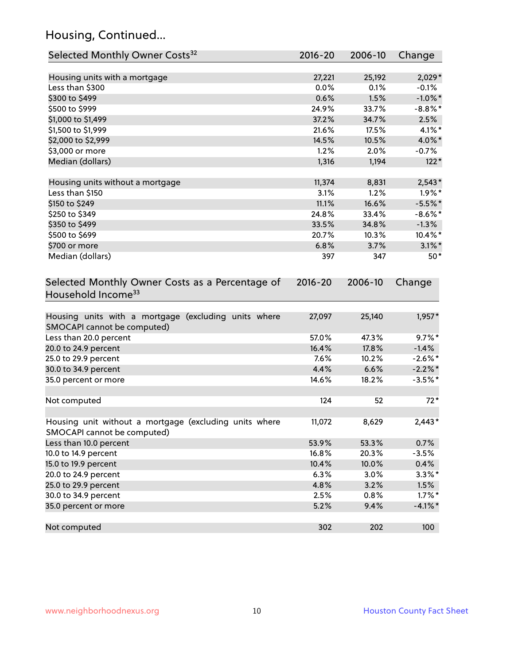### Housing, Continued...

| Selected Monthly Owner Costs <sup>32</sup>                                            | $2016 - 20$ | 2006-10 | Change     |
|---------------------------------------------------------------------------------------|-------------|---------|------------|
| Housing units with a mortgage                                                         | 27,221      | 25,192  | 2,029*     |
| Less than \$300                                                                       | 0.0%        | 0.1%    | $-0.1%$    |
| \$300 to \$499                                                                        | 0.6%        | 1.5%    | $-1.0\%$ * |
| \$500 to \$999                                                                        | 24.9%       | 33.7%   | $-8.8\%$ * |
| \$1,000 to \$1,499                                                                    | 37.2%       | 34.7%   | 2.5%       |
| \$1,500 to \$1,999                                                                    | 21.6%       | 17.5%   | $4.1\%$ *  |
| \$2,000 to \$2,999                                                                    | 14.5%       | 10.5%   | 4.0%*      |
| \$3,000 or more                                                                       | 1.2%        | 2.0%    | $-0.7%$    |
| Median (dollars)                                                                      | 1,316       | 1,194   | $122*$     |
| Housing units without a mortgage                                                      | 11,374      | 8,831   | $2,543*$   |
| Less than \$150                                                                       | 3.1%        | 1.2%    | $1.9\%$ *  |
| \$150 to \$249                                                                        | 11.1%       | 16.6%   | $-5.5%$ *  |
| \$250 to \$349                                                                        | 24.8%       | 33.4%   | $-8.6\%$ * |
| \$350 to \$499                                                                        | 33.5%       | 34.8%   | $-1.3%$    |
| \$500 to \$699                                                                        | 20.7%       | 10.3%   | $10.4\%$ * |
| \$700 or more                                                                         | 6.8%        | 3.7%    | $3.1\%$ *  |
| Median (dollars)                                                                      | 397         | 347     | $50*$      |
| Selected Monthly Owner Costs as a Percentage of<br>Household Income <sup>33</sup>     | $2016 - 20$ | 2006-10 | Change     |
| Housing units with a mortgage (excluding units where<br>SMOCAPI cannot be computed)   | 27,097      | 25,140  | $1,957*$   |
| Less than 20.0 percent                                                                | 57.0%       | 47.3%   | $9.7\%$ *  |
| 20.0 to 24.9 percent                                                                  | 16.4%       | 17.8%   | $-1.4%$    |
| 25.0 to 29.9 percent                                                                  | 7.6%        | 10.2%   | $-2.6\%$ * |
| 30.0 to 34.9 percent                                                                  | 4.4%        | 6.6%    | $-2.2\%$ * |
| 35.0 percent or more                                                                  | 14.6%       | 18.2%   | $-3.5%$ *  |
| Not computed                                                                          | 124         | 52      | $72*$      |
| Housing unit without a mortgage (excluding units where<br>SMOCAPI cannot be computed) | 11,072      | 8,629   | $2,443*$   |
| Less than 10.0 percent                                                                | 53.9%       | 53.3%   | 0.7%       |
| 10.0 to 14.9 percent                                                                  | 16.8%       | 20.3%   | $-3.5%$    |
| 15.0 to 19.9 percent                                                                  | 10.4%       | 10.0%   | 0.4%       |
| 20.0 to 24.9 percent                                                                  | 6.3%        | 3.0%    | $3.3\%$ *  |
| 25.0 to 29.9 percent                                                                  | 4.8%        | 3.2%    | 1.5%       |
| 30.0 to 34.9 percent                                                                  | 2.5%        | 0.8%    | $1.7\%$ *  |
| 35.0 percent or more                                                                  | 5.2%        | 9.4%    | $-4.1\%$ * |
| Not computed                                                                          | 302         | 202     | 100        |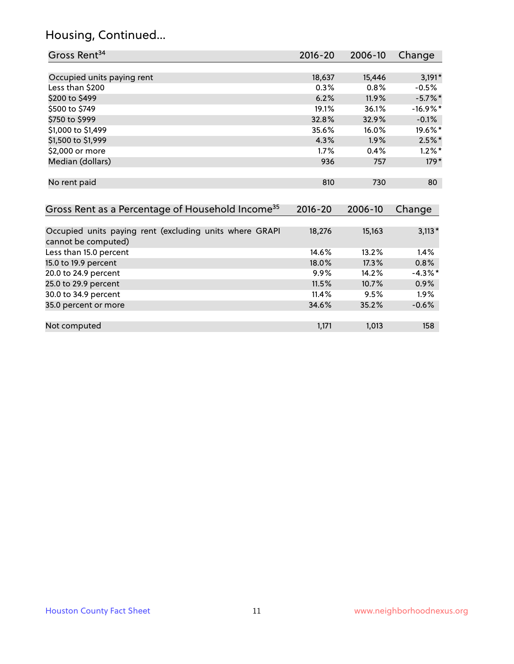#### Housing, Continued...

| Gross Rent <sup>34</sup>                                                       | 2016-20     | 2006-10 | Change     |
|--------------------------------------------------------------------------------|-------------|---------|------------|
|                                                                                |             |         |            |
| Occupied units paying rent                                                     | 18,637      | 15,446  | $3,191*$   |
| Less than \$200                                                                | 0.3%        | 0.8%    | $-0.5%$    |
| \$200 to \$499                                                                 | 6.2%        | 11.9%   | $-5.7\%$ * |
| \$500 to \$749                                                                 | 19.1%       | 36.1%   | $-16.9%$ * |
| \$750 to \$999                                                                 | 32.8%       | 32.9%   | $-0.1%$    |
| \$1,000 to \$1,499                                                             | 35.6%       | 16.0%   | 19.6%*     |
| \$1,500 to \$1,999                                                             | 4.3%        | 1.9%    | $2.5%$ *   |
| \$2,000 or more                                                                | 1.7%        | 0.4%    | $1.2\%$ *  |
| Median (dollars)                                                               | 936         | 757     | $179*$     |
| No rent paid                                                                   | 810         | 730     | 80         |
| Gross Rent as a Percentage of Household Income <sup>35</sup>                   | $2016 - 20$ | 2006-10 | Change     |
| Occupied units paying rent (excluding units where GRAPI<br>cannot be computed) | 18,276      | 15,163  | $3,113*$   |
| Less than 15.0 percent                                                         | 14.6%       | 13.2%   | 1.4%       |
| 15.0 to 19.9 percent                                                           | 18.0%       | 17.3%   | 0.8%       |
| 20.0 to 24.9 percent                                                           | 9.9%        | 14.2%   | $-4.3\%$ * |
| 25.0 to 29.9 percent                                                           | 11.5%       | 10.7%   | $0.9\%$    |
| 30.0 to 34.9 percent                                                           | 11.4%       | 9.5%    | $1.9\%$    |
| 35.0 percent or more                                                           | 34.6%       | 35.2%   | $-0.6%$    |

| Not computed | 1 1 7 1 | 1.013 | 158 |
|--------------|---------|-------|-----|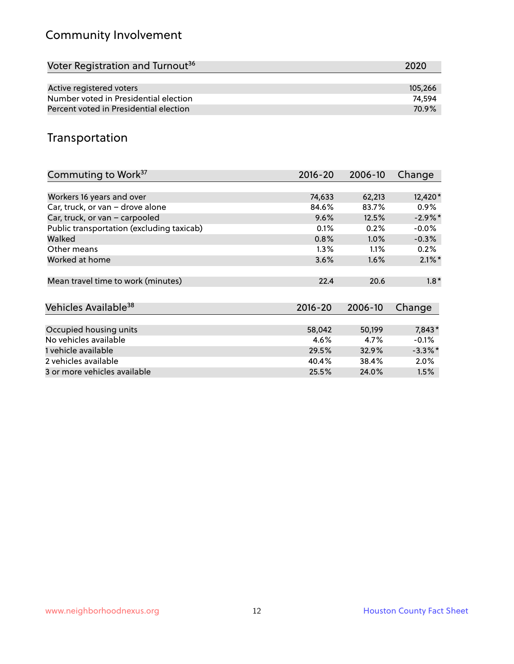### Community Involvement

| Voter Registration and Turnout <sup>36</sup> | 2020    |
|----------------------------------------------|---------|
|                                              |         |
| Active registered voters                     | 105.266 |
| Number voted in Presidential election        | 74.594  |
| Percent voted in Presidential election       | 70.9%   |

#### Transportation

| Commuting to Work <sup>37</sup>           | 2016-20     | 2006-10 | Change     |
|-------------------------------------------|-------------|---------|------------|
|                                           |             |         |            |
| Workers 16 years and over                 | 74,633      | 62,213  | 12,420*    |
| Car, truck, or van - drove alone          | 84.6%       | 83.7%   | $0.9\%$    |
| Car, truck, or van - carpooled            | 9.6%        | 12.5%   | $-2.9\%$ * |
| Public transportation (excluding taxicab) | 0.1%        | 0.2%    | $-0.0\%$   |
| Walked                                    | 0.8%        | $1.0\%$ | $-0.3%$    |
| Other means                               | $1.3\%$     | 1.1%    | 0.2%       |
| Worked at home                            | 3.6%        | 1.6%    | $2.1\%$ *  |
| Mean travel time to work (minutes)        | 22.4        | 20.6    | $1.8*$     |
|                                           |             |         |            |
| Vehicles Available <sup>38</sup>          | $2016 - 20$ | 2006-10 | Change     |
| Occupied housing units                    | 58,042      | 50,199  | 7,843*     |
| No vehicles available                     |             |         |            |
|                                           | 4.6%        | 4.7%    | $-0.1%$    |
| 1 vehicle available                       | 29.5%       | 32.9%   | $-3.3\%$ * |
| 2 vehicles available                      | 40.4%       | 38.4%   | 2.0%       |
| 3 or more vehicles available              | 25.5%       | 24.0%   | 1.5%       |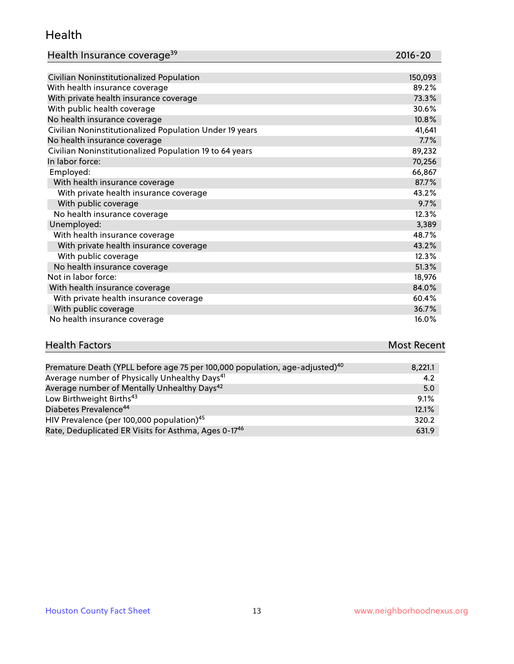#### Health

| Health Insurance coverage <sup>39</sup> | 2016-20 |
|-----------------------------------------|---------|
|-----------------------------------------|---------|

| Civilian Noninstitutionalized Population                | 150,093 |
|---------------------------------------------------------|---------|
| With health insurance coverage                          | 89.2%   |
| With private health insurance coverage                  | 73.3%   |
| With public health coverage                             | 30.6%   |
| No health insurance coverage                            | 10.8%   |
| Civilian Noninstitutionalized Population Under 19 years | 41,641  |
| No health insurance coverage                            | 7.7%    |
| Civilian Noninstitutionalized Population 19 to 64 years | 89,232  |
| In labor force:                                         | 70,256  |
| Employed:                                               | 66,867  |
| With health insurance coverage                          | 87.7%   |
| With private health insurance coverage                  | 43.2%   |
| With public coverage                                    | 9.7%    |
| No health insurance coverage                            | 12.3%   |
| Unemployed:                                             | 3,389   |
| With health insurance coverage                          | 48.7%   |
| With private health insurance coverage                  | 43.2%   |
| With public coverage                                    | 12.3%   |
| No health insurance coverage                            | 51.3%   |
| Not in labor force:                                     | 18,976  |
| With health insurance coverage                          | 84.0%   |
| With private health insurance coverage                  | 60.4%   |
| With public coverage                                    | 36.7%   |
| No health insurance coverage                            | 16.0%   |

# **Health Factors** Most Recent

| Premature Death (YPLL before age 75 per 100,000 population, age-adjusted) <sup>40</sup> | 8,221.1 |
|-----------------------------------------------------------------------------------------|---------|
| Average number of Physically Unhealthy Days <sup>41</sup>                               | 4.2     |
| Average number of Mentally Unhealthy Days <sup>42</sup>                                 | 5.0     |
| Low Birthweight Births <sup>43</sup>                                                    | 9.1%    |
| Diabetes Prevalence <sup>44</sup>                                                       | 12.1%   |
| HIV Prevalence (per 100,000 population) <sup>45</sup>                                   | 320.2   |
| Rate, Deduplicated ER Visits for Asthma, Ages 0-17 <sup>46</sup>                        | 631.9   |